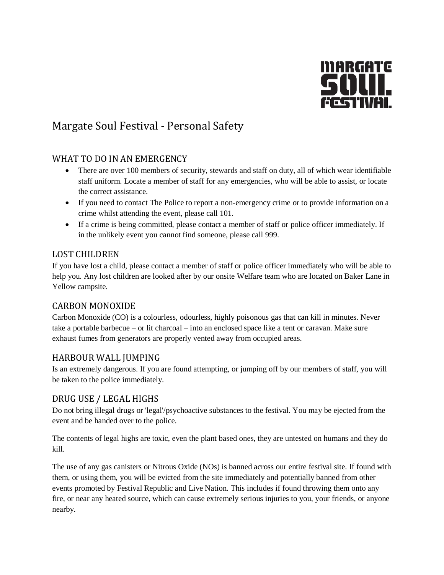

# Margate Soul Festival - Personal Safety

## WHAT TO DO IN AN EMERGENCY

- There are over 100 members of security, stewards and staff on duty, all of which wear identifiable staff uniform. Locate a member of staff for any emergencies, who will be able to assist, or locate the correct assistance.
- If you need to contact The Police to report a non-emergency crime or to provide information on a crime whilst attending the event, please call 101.
- If a crime is being committed, please contact a member of staff or police officer immediately. If in the unlikely event you cannot find someone, please call 999.

#### LOST CHILDREN

If you have lost a child, please contact a member of staff or police officer immediately who will be able to help you. Any lost children are looked after by our onsite Welfare team who are located on Baker Lane in Yellow campsite.

### CARBON MONOXIDE

Carbon Monoxide (CO) is a colourless, odourless, highly poisonous gas that can kill in minutes. Never take a portable barbecue – or lit charcoal – into an enclosed space like a tent or caravan. Make sure exhaust fumes from generators are properly vented away from occupied areas.

### HARBOUR WALL JUMPING

Is an extremely dangerous. If you are found attempting, or jumping off by our members of staff, you will be taken to the police immediately.

### DRUG USE / LEGAL HIGHS

Do not bring illegal drugs or 'legal'/psychoactive substances to the festival. You may be ejected from the event and be handed over to the police.

The contents of legal highs are toxic, even the plant based ones, they are untested on humans and they do kill.

The use of any gas canisters or Nitrous Oxide (NOs) is banned across our entire festival site. If found with them, or using them, you will be evicted from the site immediately and potentially banned from other events promoted by Festival Republic and Live Nation. This includes if found throwing them onto any fire, or near any heated source, which can cause extremely serious injuries to you, your friends, or anyone nearby.